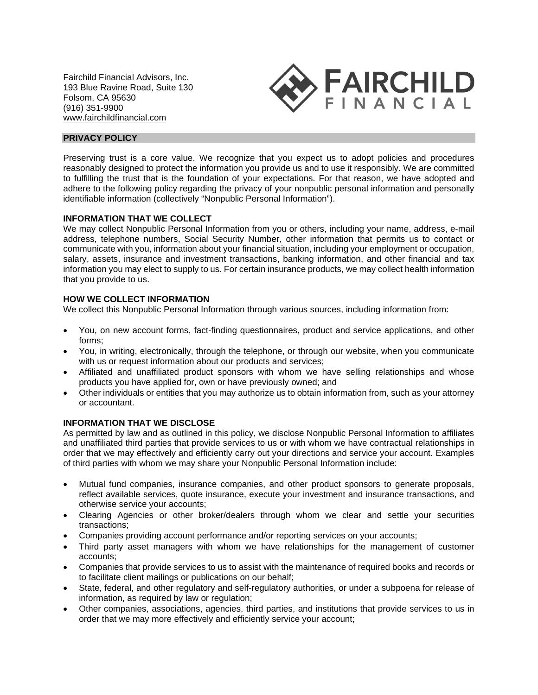Fairchild Financial Advisors, Inc. 193 Blue Ravine Road, Suite 130 Folsom, CA 95630 (916) 351-9900 [www.fairchildfinancial.com](http://www.fairchildfinancial.com/)



# **PRIVACY POLICY**

Preserving trust is a core value. We recognize that you expect us to adopt policies and procedures reasonably designed to protect the information you provide us and to use it responsibly. We are committed to fulfilling the trust that is the foundation of your expectations. For that reason, we have adopted and adhere to the following policy regarding the privacy of your nonpublic personal information and personally identifiable information (collectively "Nonpublic Personal Information").

## **INFORMATION THAT WE COLLECT**

We may collect Nonpublic Personal Information from you or others, including your name, address, e-mail address, telephone numbers, Social Security Number, other information that permits us to contact or communicate with you, information about your financial situation, including your employment or occupation, salary, assets, insurance and investment transactions, banking information, and other financial and tax information you may elect to supply to us. For certain insurance products, we may collect health information that you provide to us.

### **HOW WE COLLECT INFORMATION**

We collect this Nonpublic Personal Information through various sources, including information from:

- You, on new account forms, fact-finding questionnaires, product and service applications, and other forms;
- You, in writing, electronically, through the telephone, or through our website, when you communicate with us or request information about our products and services;
- Affiliated and unaffiliated product sponsors with whom we have selling relationships and whose products you have applied for, own or have previously owned; and
- Other individuals or entities that you may authorize us to obtain information from, such as your attorney or accountant.

#### **INFORMATION THAT WE DISCLOSE**

As permitted by law and as outlined in this policy, we disclose Nonpublic Personal Information to affiliates and unaffiliated third parties that provide services to us or with whom we have contractual relationships in order that we may effectively and efficiently carry out your directions and service your account. Examples of third parties with whom we may share your Nonpublic Personal Information include:

- Mutual fund companies, insurance companies, and other product sponsors to generate proposals, reflect available services, quote insurance, execute your investment and insurance transactions, and otherwise service your accounts;
- Clearing Agencies or other broker/dealers through whom we clear and settle your securities transactions;
- Companies providing account performance and/or reporting services on your accounts;
- Third party asset managers with whom we have relationships for the management of customer accounts;
- Companies that provide services to us to assist with the maintenance of required books and records or to facilitate client mailings or publications on our behalf;
- State, federal, and other regulatory and self-regulatory authorities, or under a subpoena for release of information, as required by law or regulation;
- Other companies, associations, agencies, third parties, and institutions that provide services to us in order that we may more effectively and efficiently service your account;